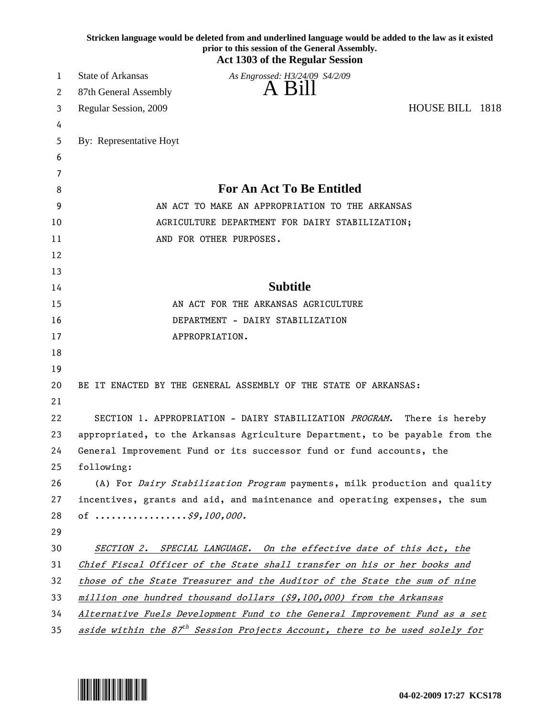|    | Stricken language would be deleted from and underlined language would be added to the law as it existed<br>prior to this session of the General Assembly.<br><b>Act 1303 of the Regular Session</b> |
|----|-----------------------------------------------------------------------------------------------------------------------------------------------------------------------------------------------------|
| 1  | <b>State of Arkansas</b><br>As Engrossed: H3/24/09 S4/2/09                                                                                                                                          |
| 2  | A Bill<br>87th General Assembly                                                                                                                                                                     |
| 3  | HOUSE BILL 1818<br>Regular Session, 2009                                                                                                                                                            |
| 4  |                                                                                                                                                                                                     |
| 5  | By: Representative Hoyt                                                                                                                                                                             |
| 6  |                                                                                                                                                                                                     |
| 7  |                                                                                                                                                                                                     |
| 8  | <b>For An Act To Be Entitled</b>                                                                                                                                                                    |
| 9  | AN ACT TO MAKE AN APPROPRIATION TO THE ARKANSAS                                                                                                                                                     |
| 10 | AGRICULTURE DEPARTMENT FOR DAIRY STABILIZATION;                                                                                                                                                     |
| 11 | AND FOR OTHER PURPOSES.                                                                                                                                                                             |
| 12 |                                                                                                                                                                                                     |
| 13 |                                                                                                                                                                                                     |
| 14 | <b>Subtitle</b>                                                                                                                                                                                     |
| 15 | AN ACT FOR THE ARKANSAS AGRICULTURE                                                                                                                                                                 |
| 16 | DEPARTMENT - DAIRY STABILIZATION                                                                                                                                                                    |
| 17 | APPROPRIATION.                                                                                                                                                                                      |
| 18 |                                                                                                                                                                                                     |
| 19 |                                                                                                                                                                                                     |
| 20 | BE IT ENACTED BY THE GENERAL ASSEMBLY OF THE STATE OF ARKANSAS:                                                                                                                                     |
| 21 |                                                                                                                                                                                                     |
| 22 | SECTION 1. APPROPRIATION - DAIRY STABILIZATION PROGRAM.<br>There is hereby                                                                                                                          |
| 23 | appropriated, to the Arkansas Agriculture Department, to be payable from the                                                                                                                        |
| 24 | General Improvement Fund or its successor fund or fund accounts, the                                                                                                                                |
| 25 | following:                                                                                                                                                                                          |
| 26 | (A) For Dairy Stabilization Program payments, milk production and quality                                                                                                                           |
| 27 | incentives, grants and aid, and maintenance and operating expenses, the sum                                                                                                                         |
| 28 | of $\ldots \ldots \ldots \ldots \ldots \ldots$ \$9,100,000.                                                                                                                                         |
| 29 |                                                                                                                                                                                                     |
| 30 | SECTION 2. SPECIAL LANGUAGE. On the effective date of this Act, the                                                                                                                                 |
| 31 | Chief Fiscal Officer of the State shall transfer on his or her books and                                                                                                                            |
| 32 | those of the State Treasurer and the Auditor of the State the sum of nine                                                                                                                           |
| 33 | million one hundred thousand dollars (\$9,100,000) from the Arkansas                                                                                                                                |
| 34 | Alternative Fuels Development Fund to the General Improvement Fund as a set                                                                                                                         |
| 35 | aside within the 87 <sup>th</sup> Session Projects Account, there to be used solely for                                                                                                             |

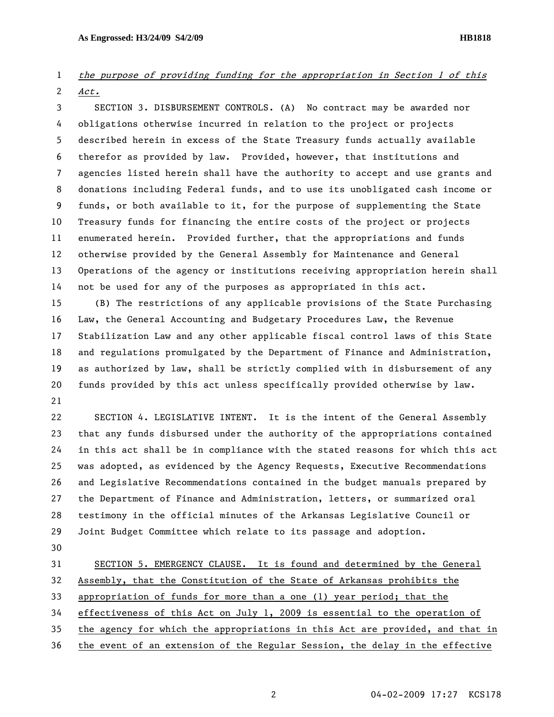## 1 the purpose of providing funding for the appropriation in Section 1 of this 2 Act.

3 SECTION 3. DISBURSEMENT CONTROLS. (A) No contract may be awarded nor 4 obligations otherwise incurred in relation to the project or projects 5 described herein in excess of the State Treasury funds actually available 6 therefor as provided by law. Provided, however, that institutions and 7 agencies listed herein shall have the authority to accept and use grants and 8 donations including Federal funds, and to use its unobligated cash income or 9 funds, or both available to it, for the purpose of supplementing the State 10 Treasury funds for financing the entire costs of the project or projects 11 enumerated herein. Provided further, that the appropriations and funds 12 otherwise provided by the General Assembly for Maintenance and General 13 Operations of the agency or institutions receiving appropriation herein shall 14 not be used for any of the purposes as appropriated in this act.

15 (B) The restrictions of any applicable provisions of the State Purchasing 16 Law, the General Accounting and Budgetary Procedures Law, the Revenue 17 Stabilization Law and any other applicable fiscal control laws of this State 18 and regulations promulgated by the Department of Finance and Administration, 19 as authorized by law, shall be strictly complied with in disbursement of any 20 funds provided by this act unless specifically provided otherwise by law. 21

22 SECTION 4. LEGISLATIVE INTENT. It is the intent of the General Assembly 23 that any funds disbursed under the authority of the appropriations contained 24 in this act shall be in compliance with the stated reasons for which this act 25 was adopted, as evidenced by the Agency Requests, Executive Recommendations 26 and Legislative Recommendations contained in the budget manuals prepared by 27 the Department of Finance and Administration, letters, or summarized oral 28 testimony in the official minutes of the Arkansas Legislative Council or 29 Joint Budget Committee which relate to its passage and adoption.

30

31 SECTION 5. EMERGENCY CLAUSE. It is found and determined by the General 32 Assembly, that the Constitution of the State of Arkansas prohibits the

33 appropriation of funds for more than a one (1) year period; that the

34 effectiveness of this Act on July 1, 2009 is essential to the operation of

- 35 the agency for which the appropriations in this Act are provided, and that in
- 36 the event of an extension of the Regular Session, the delay in the effective